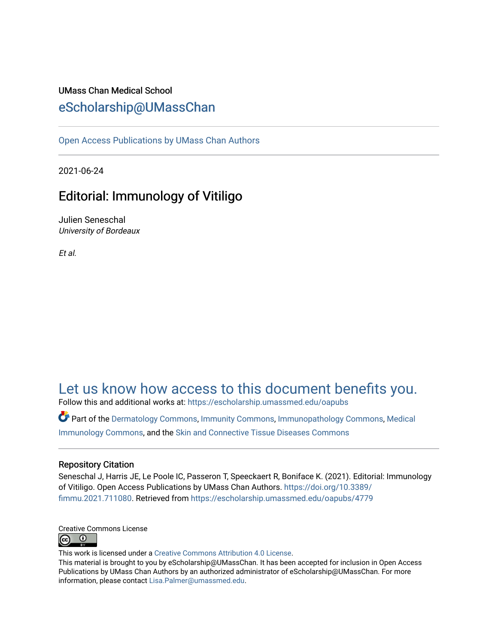## UMass Chan Medical School [eScholarship@UMassChan](https://escholarship.umassmed.edu/)

[Open Access Publications by UMass Chan Authors](https://escholarship.umassmed.edu/oapubs) 

2021-06-24

# Editorial: Immunology of Vitiligo

Julien Seneschal University of Bordeaux

Et al.

# [Let us know how access to this document benefits you.](https://arcsapps.umassmed.edu/redcap/surveys/?s=XWRHNF9EJE)

Follow this and additional works at: [https://escholarship.umassmed.edu/oapubs](https://escholarship.umassmed.edu/oapubs?utm_source=escholarship.umassmed.edu%2Foapubs%2F4779&utm_medium=PDF&utm_campaign=PDFCoverPages) 

Part of the [Dermatology Commons,](http://network.bepress.com/hgg/discipline/684?utm_source=escholarship.umassmed.edu%2Foapubs%2F4779&utm_medium=PDF&utm_campaign=PDFCoverPages) [Immunity Commons](http://network.bepress.com/hgg/discipline/34?utm_source=escholarship.umassmed.edu%2Foapubs%2F4779&utm_medium=PDF&utm_campaign=PDFCoverPages), [Immunopathology Commons](http://network.bepress.com/hgg/discipline/36?utm_source=escholarship.umassmed.edu%2Foapubs%2F4779&utm_medium=PDF&utm_campaign=PDFCoverPages), [Medical](http://network.bepress.com/hgg/discipline/671?utm_source=escholarship.umassmed.edu%2Foapubs%2F4779&utm_medium=PDF&utm_campaign=PDFCoverPages)  [Immunology Commons](http://network.bepress.com/hgg/discipline/671?utm_source=escholarship.umassmed.edu%2Foapubs%2F4779&utm_medium=PDF&utm_campaign=PDFCoverPages), and the [Skin and Connective Tissue Diseases Commons](http://network.bepress.com/hgg/discipline/942?utm_source=escholarship.umassmed.edu%2Foapubs%2F4779&utm_medium=PDF&utm_campaign=PDFCoverPages) 

### Repository Citation

Seneschal J, Harris JE, Le Poole IC, Passeron T, Speeckaert R, Boniface K. (2021). Editorial: Immunology of Vitiligo. Open Access Publications by UMass Chan Authors. [https://doi.org/10.3389/](https://doi.org/10.3389/fimmu.2021.711080) [fimmu.2021.711080.](https://doi.org/10.3389/fimmu.2021.711080) Retrieved from [https://escholarship.umassmed.edu/oapubs/4779](https://escholarship.umassmed.edu/oapubs/4779?utm_source=escholarship.umassmed.edu%2Foapubs%2F4779&utm_medium=PDF&utm_campaign=PDFCoverPages) 



This work is licensed under a [Creative Commons Attribution 4.0 License](http://creativecommons.org/licenses/by/4.0/).

This material is brought to you by eScholarship@UMassChan. It has been accepted for inclusion in Open Access Publications by UMass Chan Authors by an authorized administrator of eScholarship@UMassChan. For more information, please contact [Lisa.Palmer@umassmed.edu.](mailto:Lisa.Palmer@umassmed.edu)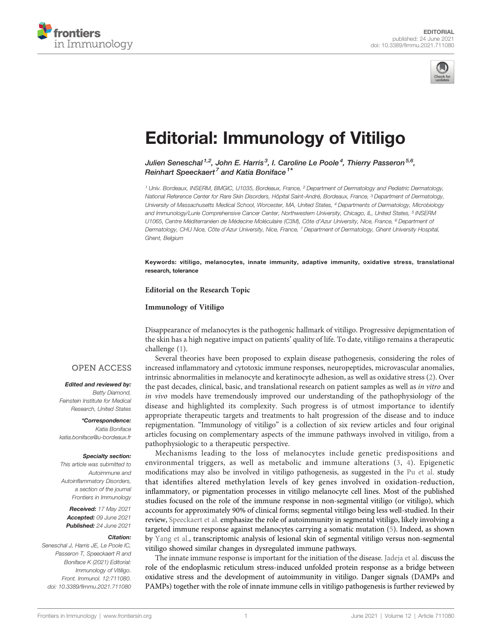



# [Editorial: Immunology of Vitiligo](https://www.frontiersin.org/articles/10.3389/fimmu.2021.711080/full)

Julien Seneschal  $^{1,2}$ , John E. Harris  $^3$ . I. Caroline Le Poole  $^4$ . Thierry Passeron  $^{5,6}$ . Reinhart Speeckaert<sup>7</sup> and Katia Boniface<sup>1</sup>

<sup>1</sup> Univ. Bordeaux, INSERM, BMGIC, U1035, Bordeaux, France, <sup>2</sup> Department of Dermatology and Pediatric Dermatology, National Reference Center for Rare Skin Disorders, Hôpital Saint-André, Bordeaux, France, <sup>3</sup> Department of Dermatology, University of Massachusetts Medical School, Worcester, MA, United States, <sup>4</sup> Departments of Dermatology, Microbiology and Immunology/Lurie Comprehensive Cancer Center, Northwestern University, Chicago, IL, United States, <sup>5</sup> INSERM U1065, Centre Méditerranéen de Médecine Moléculaire (C3M), Côte d'Azur University, Nice, France, <sup>6</sup> Department of Dermatology, CHU Nice, Côte d'Azur University, Nice, France, 7 Department of Dermatology, Ghent University Hospital, Ghent, Belgium

Keywords: vitiligo, melanocytes, innate immunity, adaptive immunity, oxidative stress, translational research, tolerance

Editorial on the Research Topic

[Immunology of Vitiligo](https://www.frontiersin.org/research-topics/11353/immunology-of-vitiligo#articles)

Disappearance of melanocytes is the pathogenic hallmark of vitiligo. Progressive depigmentation of the skin has a high negative impact on patients' quality of life. To date, vitiligo remains a therapeutic challenge [\(1\)](#page-2-0).

#### **OPEN ACCESS**

#### Edited and reviewed by:

Betty Diamond, Feinstein Institute for Medical Research, United States

\*Correspondence: Katia Boniface [katia.boniface@u-bordeaux.fr](mailto:katia.boniface@u-bordeaux.fr)

#### Specialty section:

This article was submitted to Autoimmune and Autoinflammatory Disorders, a section of the journal Frontiers in Immunology

Received: 17 May 2021 Accepted: 09 June 2021 Published: 24 June 2021

#### Citation:

Seneschal J, Harris JE, Le Poole IC, Passeron T, Speeckaert R and Boniface K (2021) Editorial: Immunology of Vitiligo. Front. Immunol. 12:711080. [doi: 10.3389/fimmu.2021.711080](https://doi.org/10.3389/fimmu.2021.711080)

Several theories have been proposed to explain disease pathogenesis, considering the roles of increased inflammatory and cytotoxic immune responses, neuropeptides, microvascular anomalies, intrinsic abnormalities in melanocyte and keratinocyte adhesion, as well as oxidative stress [\(2\)](#page-2-0). Over the past decades, clinical, basic, and translational research on patient samples as well as in vitro and in vivo models have tremendously improved our understanding of the pathophysiology of the disease and highlighted its complexity. Such progress is of utmost importance to identify appropriate therapeutic targets and treatments to halt progression of the disease and to induce repigmentation. "Immunology of vitiligo" is a collection of six review articles and four original articles focusing on complementary aspects of the immune pathways involved in vitiligo, from a pathophysiologic to a therapeutic perspective.

Mechanisms leading to the loss of melanocytes include genetic predispositions and environmental triggers, as well as metabolic and immune alterations ([3,](#page-2-0) [4](#page-2-0)). Epigenetic modifications may also be involved in vitiligo pathogenesis, as suggested in the [Pu et al.](https://doi.org/10.3389/fimmu.2021.587440) study that identifies altered methylation levels of key genes involved in oxidation-reduction, inflammatory, or pigmentation processes in vitiligo melanocyte cell lines. Most of the published studies focused on the role of the immune response in non-segmental vitiligo (or vitiligo), which accounts for approximately 90% of clinical forms; segmental vitiligo being less well-studied. In their review, [Speeckaert et al.](https://doi.org/10.3389/fimmu.2020.568447) emphasize the role of autoimmunity in segmental vitiligo, likely involving a targeted immune response against melanocytes carrying a somatic mutation ([5](#page-2-0)). Indeed, as shown by [Yang et al.,](https://doi.org/10.3389/fimmu.2021.613031) transcriptomic analysis of lesional skin of segmental vitiligo versus non-segmental vitiligo showed similar changes in dysregulated immune pathways.

The innate immune response is important for the initiation of the disease. [Jadeja et al.](https://doi.org/10.3389/fimmu.2020.624566) discuss the role of the endoplasmic reticulum stress-induced unfolded protein response as a bridge between oxidative stress and the development of autoimmunity in vitiligo. Danger signals (DAMPs and PAMPs) together with the role of innate immune cells in vitiligo pathogenesis is further reviewed by